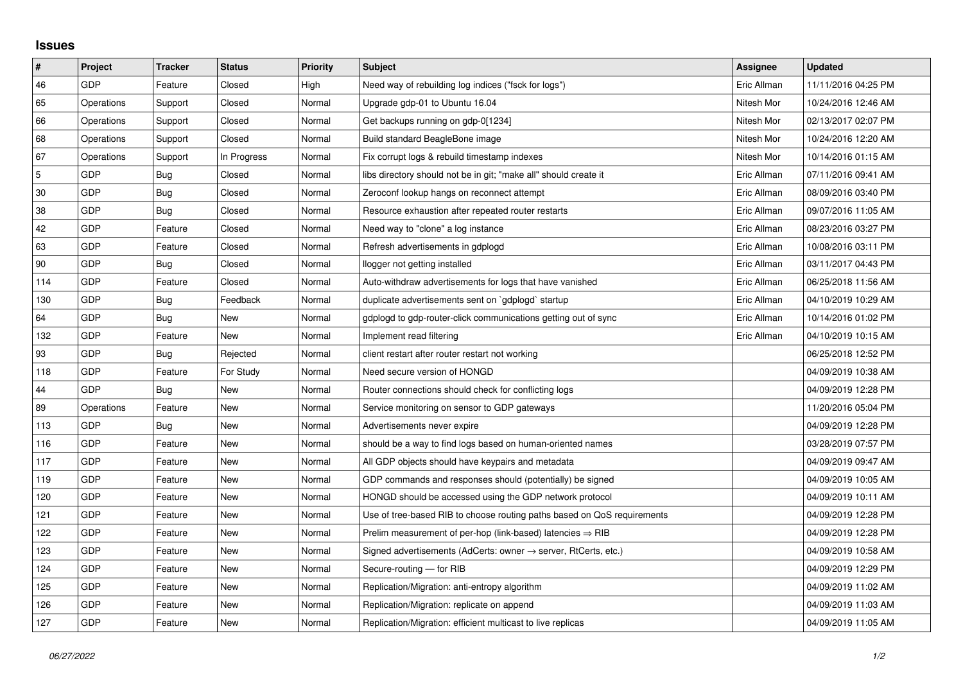## **Issues**

| $\vert$ #      | Project    | <b>Tracker</b> | <b>Status</b> | <b>Priority</b> | <b>Subject</b>                                                             | <b>Assignee</b> | <b>Updated</b>      |
|----------------|------------|----------------|---------------|-----------------|----------------------------------------------------------------------------|-----------------|---------------------|
| 46             | GDP        | Feature        | Closed        | High            | Need way of rebuilding log indices ("fsck for logs")                       | Eric Allman     | 11/11/2016 04:25 PM |
| 65             | Operations | Support        | Closed        | Normal          | Upgrade gdp-01 to Ubuntu 16.04                                             | Nitesh Mor      | 10/24/2016 12:46 AM |
| 66             | Operations | Support        | Closed        | Normal          | Get backups running on gdp-0[1234]                                         | Nitesh Mor      | 02/13/2017 02:07 PM |
| 68             | Operations | Support        | Closed        | Normal          | Build standard BeagleBone image                                            | Nitesh Mor      | 10/24/2016 12:20 AM |
| 67             | Operations | Support        | In Progress   | Normal          | Fix corrupt logs & rebuild timestamp indexes                               | Nitesh Mor      | 10/14/2016 01:15 AM |
| $\overline{5}$ | GDP        | Bug            | Closed        | Normal          | libs directory should not be in git; "make all" should create it           | Eric Allman     | 07/11/2016 09:41 AM |
| 30             | GDP        | Bug            | Closed        | Normal          | Zeroconf lookup hangs on reconnect attempt                                 | Eric Allman     | 08/09/2016 03:40 PM |
| 38             | GDP        | Bug            | Closed        | Normal          | Resource exhaustion after repeated router restarts                         | Eric Allman     | 09/07/2016 11:05 AM |
| 42             | GDP        | Feature        | Closed        | Normal          | Need way to "clone" a log instance                                         | Eric Allman     | 08/23/2016 03:27 PM |
| 63             | GDP        | Feature        | Closed        | Normal          | Refresh advertisements in gdplogd                                          | Eric Allman     | 10/08/2016 03:11 PM |
| 90             | GDP        | Bug            | Closed        | Normal          | llogger not getting installed                                              | Eric Allman     | 03/11/2017 04:43 PM |
| 114            | GDP        | Feature        | Closed        | Normal          | Auto-withdraw advertisements for logs that have vanished                   | Eric Allman     | 06/25/2018 11:56 AM |
| 130            | GDP        | Bug            | Feedback      | Normal          | duplicate advertisements sent on `gdplogd` startup                         | Eric Allman     | 04/10/2019 10:29 AM |
| 64             | GDP        | Bug            | New           | Normal          | gdplogd to gdp-router-click communications getting out of sync             | Eric Allman     | 10/14/2016 01:02 PM |
| 132            | GDP        | Feature        | New           | Normal          | Implement read filtering                                                   | Eric Allman     | 04/10/2019 10:15 AM |
| 93             | GDP        | Bug            | Rejected      | Normal          | client restart after router restart not working                            |                 | 06/25/2018 12:52 PM |
| 118            | GDP        | Feature        | For Study     | Normal          | Need secure version of HONGD                                               |                 | 04/09/2019 10:38 AM |
| 44             | GDP        | Bug            | New           | Normal          | Router connections should check for conflicting logs                       |                 | 04/09/2019 12:28 PM |
| 89             | Operations | Feature        | New           | Normal          | Service monitoring on sensor to GDP gateways                               |                 | 11/20/2016 05:04 PM |
| 113            | GDP        | Bug            | New           | Normal          | Advertisements never expire                                                |                 | 04/09/2019 12:28 PM |
| 116            | GDP        | Feature        | New           | Normal          | should be a way to find logs based on human-oriented names                 |                 | 03/28/2019 07:57 PM |
| 117            | GDP        | Feature        | New           | Normal          | All GDP objects should have keypairs and metadata                          |                 | 04/09/2019 09:47 AM |
| 119            | GDP        | Feature        | New           | Normal          | GDP commands and responses should (potentially) be signed                  |                 | 04/09/2019 10:05 AM |
| 120            | GDP        | Feature        | New           | Normal          | HONGD should be accessed using the GDP network protocol                    |                 | 04/09/2019 10:11 AM |
| 121            | GDP        | Feature        | New           | Normal          | Use of tree-based RIB to choose routing paths based on QoS requirements    |                 | 04/09/2019 12:28 PM |
| 122            | GDP        | Feature        | New           | Normal          | Prelim measurement of per-hop (link-based) latencies $\Rightarrow$ RIB     |                 | 04/09/2019 12:28 PM |
| 123            | GDP        | Feature        | New           | Normal          | Signed advertisements (AdCerts: owner $\rightarrow$ server, RtCerts, etc.) |                 | 04/09/2019 10:58 AM |
| 124            | GDP        | Feature        | New           | Normal          | Secure-routing - for RIB                                                   |                 | 04/09/2019 12:29 PM |
| 125            | GDP        | Feature        | New           | Normal          | Replication/Migration: anti-entropy algorithm                              |                 | 04/09/2019 11:02 AM |
| 126            | GDP        | Feature        | New           | Normal          | Replication/Migration: replicate on append                                 |                 | 04/09/2019 11:03 AM |
| 127            | GDP        | Feature        | New           | Normal          | Replication/Migration: efficient multicast to live replicas                |                 | 04/09/2019 11:05 AM |